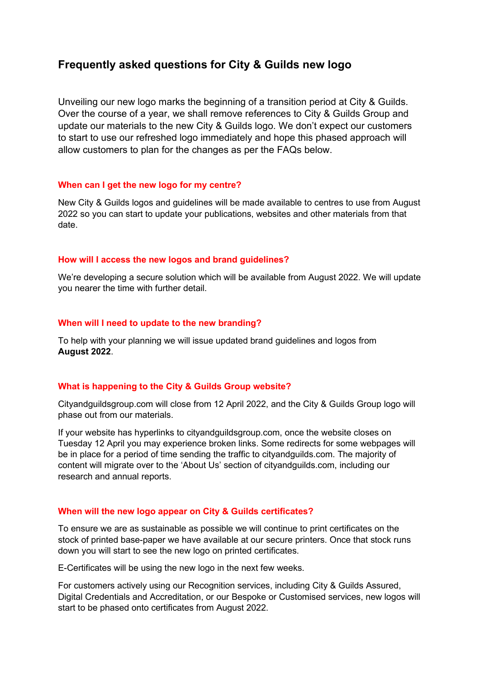# **Frequently asked questions for City & Guilds new logo**

Unveiling our new logo marks the beginning of a transition period at City & Guilds. Over the course of a year, we shall remove references to City & Guilds Group and update our materials to the new City & Guilds logo. We don't expect our customers to start to use our refreshed logo immediately and hope this phased approach will allow customers to plan for the changes as per the FAQs below.

## **When can I get the new logo for my centre?**

New City & Guilds logos and guidelines will be made available to centres to use from August 2022 so you can start to update your publications, websites and other materials from that date.

#### **How will I access the new logos and brand guidelines?**

We're developing a secure solution which will be available from August 2022. We will update you nearer the time with further detail.

#### **When will I need to update to the new branding?**

To help with your planning we will issue updated brand guidelines and logos from **August 2022**.

#### **What is happening to the City & Guilds Group website?**

Cityandguildsgroup.com will close from 12 April 2022, and the City & Guilds Group logo will phase out from our materials.

If your website has hyperlinks to cityandguildsgroup.com, once the website closes on Tuesday 12 April you may experience broken links. Some redirects for some webpages will be in place for a period of time sending the traffic to cityandguilds.com. The majority of content will migrate over to the 'About Us' section of cityandguilds.com, including our research and annual reports.

### **When will the new logo appear on City & Guilds certificates?**

To ensure we are as sustainable as possible we will continue to print certificates on the stock of printed base-paper we have available at our secure printers. Once that stock runs down you will start to see the new logo on printed certificates.

E-Certificates will be using the new logo in the next few weeks.

For customers actively using our Recognition services, including City & Guilds Assured, Digital Credentials and Accreditation, or our Bespoke or Customised services, new logos will start to be phased onto certificates from August 2022.